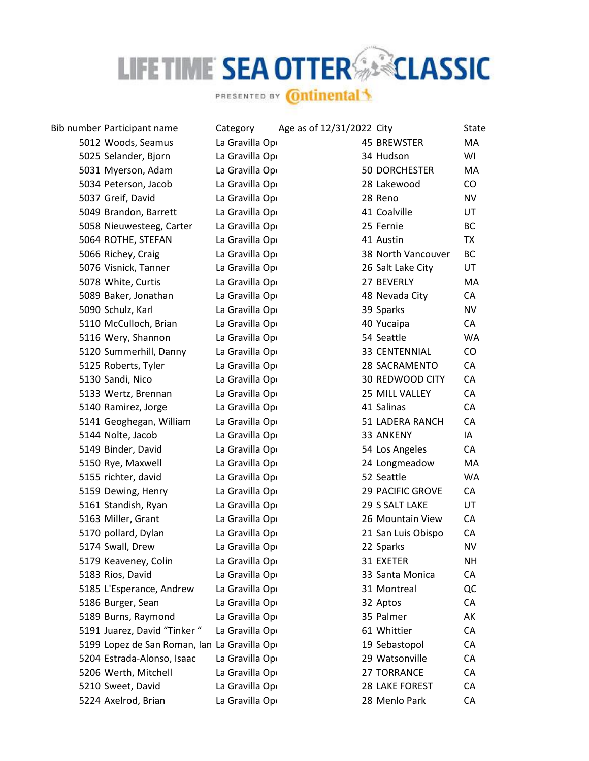## LIFE TIME SEA OTTER SERICLASSIC

PRESENTED BY **Ontinental** 

Bib number Participant name Category Age as of 12/31/2022 City State 5012 Woods, Seamus La Gravilla Open 5025 Selander, Biorn La Gravilla Open 5031 Myerson, Adam La Gravilla Open 5034 Peterson, Jacob La Gravilla Open 5037 Greif, David La Gravilla Open 5049 Brandon, Barrett La Gravilla Open 5058 Nieuwesteeg, Carter La Gravilla Open 5064 ROTHE, STEFAN La Gravilla Open 5066 Richey, Craig La Gravilla Open 5076 Visnick, Tanner La Gravilla Open 5078 White, Curtis La Gravilla Open 5089 Baker, Jonathan La Gravilla Open 5090 Schulz, Karl La Gravilla Open 5110 McCulloch, Brian La Gravilla Open 5116 Wery, Shannon La Gravilla Open 5120 Summerhill, Danny La Gravilla Open 5125 Roberts, Tyler La Gravilla Open 5130 Sandi, Nico La Gravilla Open 5133 Wertz, Brennan La Gravilla Open 5140 Ramirez, Jorge La Gravilla Open 5141 Geoghegan, William La Gravilla Open 5144 Nolte, Jacob La Gravilla Open 5149 Binder, David La Gravilla Open 5150 Rye, Maxwell La Gravilla Open 5155 richter, david La Gravilla Open 5159 Dewing, Henry La Gravilla Open 5161 Standish, Ryan La Gravilla Open 5163 Miller, Grant La Gravilla Open 5170 pollard, Dylan La Gravilla Open 5174 Swall, Drew La Gravilla Open 5179 Keaveney, Colin La Gravilla Open 5183 Rios, David La Gravilla Open 5185 L'Esperance, Andrew La Gravilla Open 5186 Burger, Sean La Gravilla Open 5189 Burns, Raymond La Gravilla Open 5191 Juarez, David "Tinker " La Gravilla Ope 5199 Lopez de San Roman, Ian La Gravilla Ope 5204 Estrada-Alonso, Isaac La Gravilla Open 5206 Werth, Mitchell La Gravilla Open 5210 Sweet, David La Gravilla Open 5224 Axelrod, Brian La Gravilla Open

| <b>45 BREWSTER</b>      | МA        |
|-------------------------|-----------|
| 34 Hudson               | WI        |
| <b>50 DORCHESTER</b>    | MA        |
| 28 Lakewood             | CO        |
| 28 Reno                 | <b>NV</b> |
| 41 Coalville            | UT        |
| 25 Fernie               | ВC        |
| 41 Austin               | <b>TX</b> |
| 38 North Vancouver      | <b>BC</b> |
| 26 Salt Lake City       | UT        |
| 27 BEVERLY              | МA        |
| 48 Nevada City          | CA        |
| 39 Sparks               | <b>NV</b> |
| 40 Yucaipa              | CA        |
| 54 Seattle              | <b>WA</b> |
| <b>33 CENTENNIAL</b>    | CO        |
| 28 SACRAMENTO           | CA        |
| 30 REDWOOD CITY         | CA        |
| 25 MILL VALLEY          | CA        |
| 41 Salinas              | CA        |
| 51 LADERA RANCH         | CA        |
| 33 ANKENY               | IA        |
| 54 Los Angeles          | СA        |
| 24 Longmeadow           | MA        |
| 52 Seattle              | <b>WA</b> |
| <b>29 PACIFIC GROVE</b> | CA        |
| 29 S SALT LAKE          | UT        |
| 26 Mountain View        | CA        |
| 21 San Luis Obispo      | CA        |
| 22 Sparks               | <b>NV</b> |
| 31 EXETER               | NΗ        |
| 33 Santa Monica         | СA        |
| 31 Montreal             | QC        |
| 32 Aptos                | CA        |
| 35 Palmer               | AK        |
| 61 Whittier             | CA        |
| 19 Sebastopol           | CA        |
| 29 Watsonville          | CA        |
| 27 TORRANCE             | CA        |
| 28 LAKE FOREST          | СA        |
| 28 Menlo Park           | CA        |
|                         |           |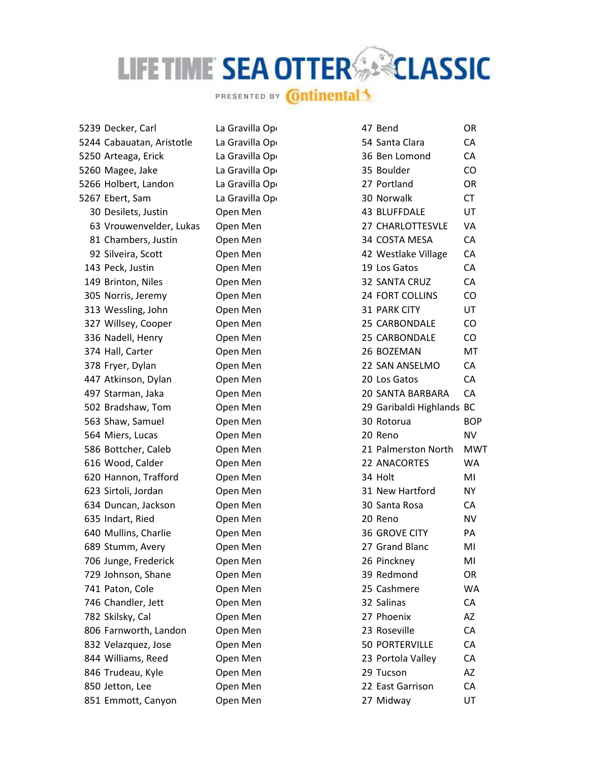## LIFE TIME SEA OTTER SERICLASSIC

PRESENTED BY **Ontinental** 

| 239 Decker, Carl         | La Gravilla Op | 47 Bend                   | OR.        |
|--------------------------|----------------|---------------------------|------------|
| 244 Cabauatan, Aristotle | La Gravilla Op | 54 Santa Clara            | CA         |
| 250 Arteaga, Erick       | La Gravilla Op | 36 Ben Lomond             | CA         |
| 260 Magee, Jake          | La Gravilla Op | 35 Boulder                | CO         |
| 266 Holbert, Landon      | La Gravilla Op | 27 Portland               | OR         |
| 267 Ebert, Sam           | La Gravilla Op | 30 Norwalk                | <b>CT</b>  |
| 30 Desilets, Justin      | Open Men       | 43 BLUFFDALE              | UT         |
| 63 Vrouwenvelder, Lukas  | Open Men       | 27 CHARLOTTESVLE          | VA         |
| 81 Chambers, Justin      | Open Men       | 34 COSTA MESA             | CA         |
| 92 Silveira, Scott       | Open Men       | 42 Westlake Village       | CA         |
| 143 Peck, Justin         | Open Men       | 19 Los Gatos              | CA         |
| 149 Brinton, Niles       | Open Men       | 32 SANTA CRUZ             | CA         |
| 305 Norris, Jeremy       | Open Men       | <b>24 FORT COLLINS</b>    | CO         |
| 313 Wessling, John       | Open Men       | 31 PARK CITY              | UT         |
| 327 Willsey, Cooper      | Open Men       | 25 CARBONDALE             | CO         |
| 336 Nadell, Henry        | Open Men       | 25 CARBONDALE             | CO         |
| 374 Hall, Carter         | Open Men       | 26 BOZEMAN                | MT         |
| 378 Fryer, Dylan         | Open Men       | 22 SAN ANSELMO            | CA         |
| 447 Atkinson, Dylan      | Open Men       | 20 Los Gatos              | CA         |
| 497 Starman, Jaka        | Open Men       | 20 SANTA BARBARA          | CA         |
| 502 Bradshaw, Tom        | Open Men       | 29 Garibaldi Highlands BC |            |
| 563 Shaw, Samuel         | Open Men       | 30 Rotorua                | <b>BOP</b> |
| 564 Miers, Lucas         | Open Men       | 20 Reno                   | NV         |
| 586 Bottcher, Caleb      | Open Men       | 21 Palmerston North       | <b>MWT</b> |
| 616 Wood, Calder         | Open Men       | 22 ANACORTES              | <b>WA</b>  |
| 620 Hannon, Trafford     | Open Men       | 34 Holt                   | MI         |
| 623 Sirtoli, Jordan      | Open Men       | 31 New Hartford           | <b>NY</b>  |
| 634 Duncan, Jackson      | Open Men       | 30 Santa Rosa             | CA         |
| 635 Indart, Ried         | Open Men       | 20 Reno                   | <b>NV</b>  |
| 640 Mullins, Charlie     | Open Men       | 36 GROVE CITY             | PA         |
| 689 Stumm, Avery         | Open Men       | 27 Grand Blanc            | MI         |
| 706 Junge, Frederick     | Open Men       | 26 Pinckney               | MI         |
| 729 Johnson, Shane       | Open Men       | 39 Redmond                | OR         |
| 741 Paton, Cole          | Open Men       | 25 Cashmere               | WA         |
| 746 Chandler, Jett       | Open Men       | 32 Salinas                | CA         |
| 782 Skilsky, Cal         | Open Men       | 27 Phoenix                | AZ         |
| 806 Farnworth, Landon    | Open Men       | 23 Roseville              | CA         |
| 832 Velazquez, Jose      | Open Men       | <b>50 PORTERVILLE</b>     | CA         |
| 844 Williams, Reed       | Open Men       | 23 Portola Valley         | CA         |
| 846 Trudeau, Kyle        | Open Men       | 29 Tucson                 | AZ         |
| 850 Jetton, Lee          | Open Men       | 22 East Garrison          | CA         |
| 851 Emmott, Canyon       | Open Men       | 27 Midway                 | UT         |
|                          |                |                           |            |